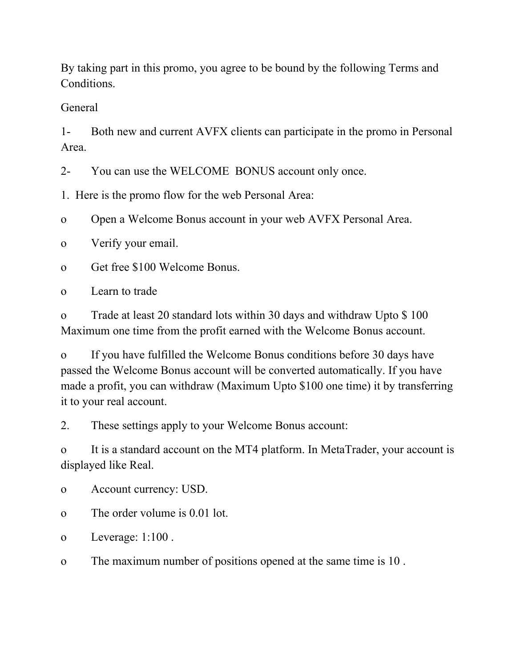By taking part in this promo, you agree to be bound by the following Terms and Conditions.

General

1- Both new and current AVFX clients can participate in the promo in Personal Area.

2- You can use the WELCOME BONUS account only once.

1. Here is the promo flow for the web Personal Area:

o Open a Welcome Bonus account in your web AVFX Personal Area.

o Verify your email.

o Get free \$100 Welcome Bonus.

o Learn to trade

o Trade at least 20 standard lots within 30 days and withdraw Upto \$ 100 Maximum one time from the profit earned with the Welcome Bonus account.

o If you have fulfilled the Welcome Bonus conditions before 30 days have passed the Welcome Bonus account will be converted automatically. If you have made a profit, you can withdraw (Maximum Upto \$100 one time) it by transferring it to your real account.

2. These settings apply to your Welcome Bonus account:

o It is a standard account on the MT4 platform. In MetaTrader, your account is displayed like Real.

o Account currency: USD.

o The order volume is 0.01 lot.

o Leverage: 1:100 .

o The maximum number of positions opened at the same time is 10 .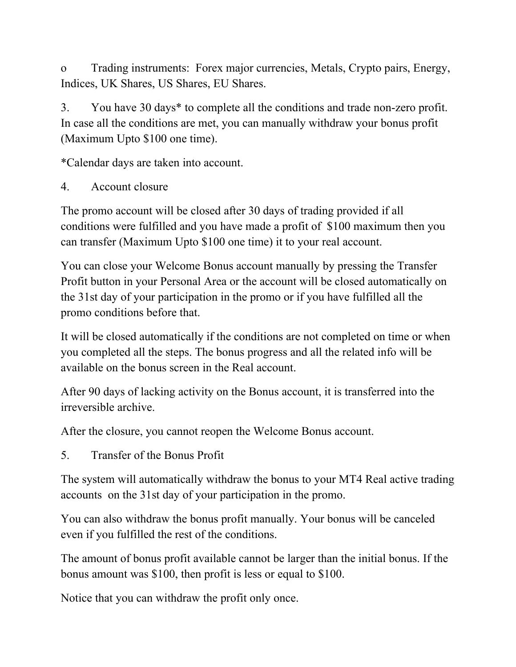o Trading instruments: Forex major currencies, Metals, Crypto pairs, Energy, Indices, UK Shares, US Shares, EU Shares.

3. You have 30 days\* to complete all the conditions and trade non-zero profit. In case all the conditions are met, you can manually withdraw your bonus profit (Maximum Upto \$100 one time).

\*Calendar days are taken into account.

4. Account closure

The promo account will be closed after 30 days of trading provided if all conditions were fulfilled and you have made a profit of \$100 maximum then you can transfer (Maximum Upto \$100 one time) it to your real account.

You can close your Welcome Bonus account manually by pressing the Transfer Profit button in your Personal Area or the account will be closed automatically on the 31st day of your participation in the promo or if you have fulfilled all the promo conditions before that.

It will be closed automatically if the conditions are not completed on time or when you completed all the steps. The bonus progress and all the related info will be available on the bonus screen in the Real account.

After 90 days of lacking activity on the Bonus account, it is transferred into the irreversible archive.

After the closure, you cannot reopen the Welcome Bonus account.

5. Transfer of the Bonus Profit

The system will automatically withdraw the bonus to your MT4 Real active trading accounts on the 31st day of your participation in the promo.

You can also withdraw the bonus profit manually. Your bonus will be canceled even if you fulfilled the rest of the conditions.

The amount of bonus profit available cannot be larger than the initial bonus. If the bonus amount was \$100, then profit is less or equal to \$100.

Notice that you can withdraw the profit only once.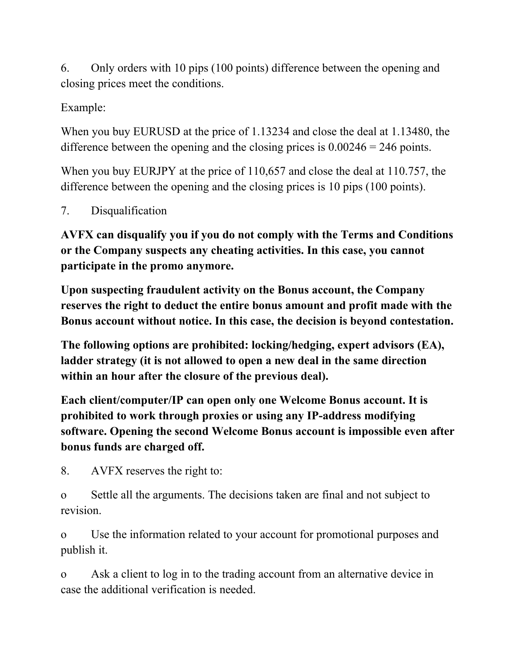6. Only orders with 10 pips (100 points) difference between the opening and closing prices meet the conditions.

Example:

When you buy EURUSD at the price of 1.13234 and close the deal at 1.13480, the difference between the opening and the closing prices is  $0.00246 = 246$  points.

When you buy EURJPY at the price of 110,657 and close the deal at 110.757, the difference between the opening and the closing prices is 10 pips (100 points).

7. Disqualification

**AVFX can disqualify you if you do not comply with the Terms and Conditions or the Company suspects any cheating activities. In this case, you cannot participate in the promo anymore.**

**Upon suspecting fraudulent activity on the Bonus account, the Company reserves the right to deduct the entire bonus amount and profit made with the Bonus account without notice. In this case, the decision is beyond contestation.**

**The following options are prohibited: locking/hedging, expert advisors (EA), ladder strategy (it is not allowed to open a new deal in the same direction within an hour after the closure of the previous deal).**

**Each client/computer/IP can open only one Welcome Bonus account. It is prohibited to work through proxies or using any IP-address modifying software. Opening the second Welcome Bonus account is impossible even after bonus funds are charged off.**

8. AVFX reserves the right to:

o Settle all the arguments. The decisions taken are final and not subject to revision.

o Use the information related to your account for promotional purposes and publish it.

o Ask a client to log in to the trading account from an alternative device in case the additional verification is needed.